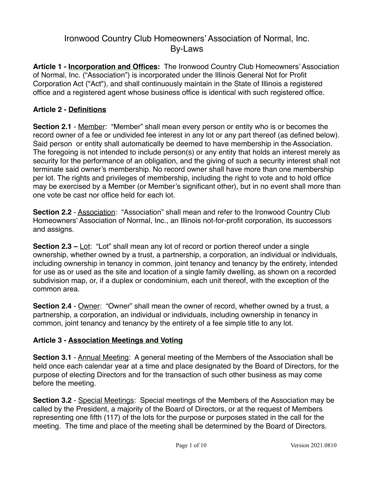# Ironwood Country Club Homeowners' Association of Normal, Inc. By-Laws

**Article 1 - Incorporation and Offices:** The Ironwood Country Club Homeowners' Association of Normal, Inc. ("Association") is incorporated under the Illinois General Not for Profit Corporation Act ("Act"), and shall continuously maintain in the State of Illinois a registered office and a registered agent whose business office is identical with such registered office.

#### **Article 2 - Definitions**

**Section 2.1** - Member: "Member" shall mean every person or entity who is or becomes the record owner of a fee or undivided fee interest in any lot or any part thereof (as defined below). Said person or entity shall automatically be deemed to have membership in the Association. The foregoing is not intended to include person(s) or any entity that holds an interest merely as security for the performance of an obligation, and the giving of such a security interest shall not terminate said owner's membership. No record owner shall have more than one membership per lot. The rights and privileges of membership, including the right to vote and to hold office may be exercised by a Member (or Member's significant other), but in no event shall more than one vote be cast nor office held for each lot.

**Section 2.2** - Association: "Association" shall mean and refer to the Ironwood Country Club Homeowners' Association of Normal, Inc., an Illinois not-for-profit corporation, its successors and assigns.

**Section 2.3 –** Lot: "Lot" shall mean any lot of record or portion thereof under a single ownership, whether owned by a trust, a partnership, a corporation, an individual or individuals, including ownership in tenancy in common, joint tenancy and tenancy by the entirety, intended for use as or used as the site and location of a single family dwelling, as shown on a recorded subdivision map, or, if a duplex or condominium, each unit thereof, with the exception of the common area.

**Section 2.4** - Owner: "Owner" shall mean the owner of record, whether owned by a trust, a partnership, a corporation, an individual or individuals, including ownership in tenancy in common, joint tenancy and tenancy by the entirety of a fee simple title to any lot.

## **Article 3 - Association Meetings and Voting**

**Section 3.1** - Annual Meeting: A general meeting of the Members of the Association shall be held once each calendar year at a time and place designated by the Board of Directors, for the purpose of electing Directors and for the transaction of such other business as may come before the meeting.

**Section 3.2** - Special Meetings: Special meetings of the Members of the Association may be called by the President, a majority of the Board of Directors, or at the request of Members representing one fifth (117) of the lots for the purpose or purposes stated in the call for the meeting. The time and place of the meeting shall be determined by the Board of Directors.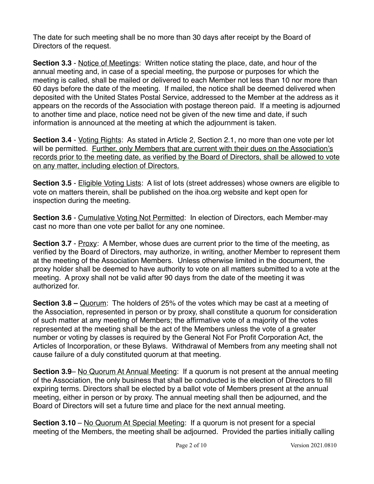The date for such meeting shall be no more than 30 days after receipt by the Board of Directors of the request.

**Section 3.3** - Notice of Meetings: Written notice stating the place, date, and hour of the annual meeting and, in case of a special meeting, the purpose or purposes for which the meeting is called, shall be mailed or delivered to each Member not less than 10 nor more than 60 days before the date of the meeting. If mailed, the notice shall be deemed delivered when deposited with the United States Postal Service, addressed to the Member at the address as it appears on the records of the Association with postage thereon paid. If a meeting is adjourned to another time and place, notice need not be given of the new time and date, if such information is announced at the meeting at which the adjournment is taken.

**Section 3.4** - Voting Rights: As stated in Article 2, Section 2.1, no more than one vote per lot will be permitted. Further, only Members that are current with their dues on the Association's records prior to the meeting date, as verified by the Board of Directors, shall be allowed to vote on any matter, including election of Directors.

**Section 3.5** - Eligible Voting Lists: A list of lots (street addresses) whose owners are eligible to vote on matters therein, shall be published on the ihoa.org website and kept open for inspection during the meeting.

**Section 3.6** - Cumulative Voting Not Permitted: In election of Directors, each Member-may cast no more than one vote per ballot for any one nominee.

**Section 3.7** - Proxy: A Member, whose dues are current prior to the time of the meeting, as verified by the Board of Directors, may authorize, in writing, another Member to represent them at the meeting of the Association Members. Unless otherwise limited in the document, the proxy holder shall be deemed to have authority to vote on all matters submitted to a vote at the meeting. A proxy shall not be valid after 90 days from the date of the meeting it was authorized for.

**Section 3.8 –** Quorum: The holders of 25% of the votes which may be cast at a meeting of the Association, represented in person or by proxy, shall constitute a quorum for consideration of such matter at any meeting of Members; the affirmative vote of a majority of the votes represented at the meeting shall be the act of the Members unless the vote of a greater number or voting by classes is required by the General Not For Profit Corporation Act, the Articles of Incorporation, or these Bylaws. Withdrawal of Members from any meeting shall not cause failure of a duly constituted quorum at that meeting.

**Section 3.9– No Quorum At Annual Meeting: If a quorum is not present at the annual meeting** of the Association, the only business that shall be conducted is the election of Directors to fill expiring terms. Directors shall be elected by a ballot vote of Members present at the annual meeting, either in person or by proxy. The annual meeting shall then be adjourned, and the Board of Directors will set a future time and place for the next annual meeting.

**Section 3.10** – No Quorum At Special Meeting: If a quorum is not present for a special meeting of the Members, the meeting shall be adjourned. Provided the parties initially calling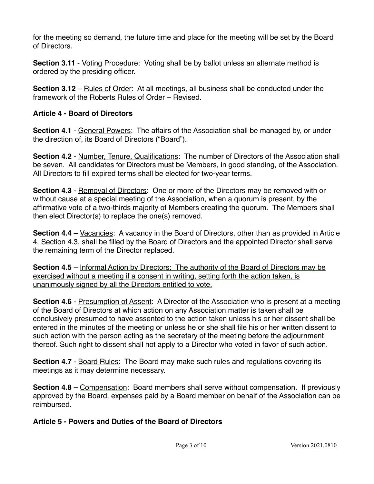for the meeting so demand, the future time and place for the meeting will be set by the Board of Directors.

**Section 3.11** - Voting Procedure: Voting shall be by ballot unless an alternate method is ordered by the presiding officer.

**Section 3.12** – Rules of Order: At all meetings, all business shall be conducted under the framework of the Roberts Rules of Order – Revised.

#### **Article 4 - Board of Directors**

**Section 4.1** - General Powers: The affairs of the Association shall be managed by, or under the direction of, its Board of Directors ("Board").

**Section 4.2** - Number, Tenure, Qualifications: The number of Directors of the Association shall be seven. All candidates for Directors must be Members, in good standing, of the Association. All Directors to fill expired terms shall be elected for two-year terms.

**Section 4.3** - Removal of Directors: One or more of the Directors may be removed with or without cause at a special meeting of the Association, when a quorum is present, by the affirmative vote of a two-thirds majority of Members creating the quorum. The Members shall then elect Director(s) to replace the one(s) removed.

**Section 4.4 –** Vacancies: A vacancy in the Board of Directors, other than as provided in Article 4, Section 4.3, shall be filled by the Board of Directors and the appointed Director shall serve the remaining term of the Director replaced.

**Section 4.5** – Informal Action by Directors: The authority of the Board of Directors may be exercised without a meeting if a consent in writing, setting forth the action taken, is unanimously signed by all the Directors entitled to vote.

**Section 4.6** - Presumption of Assent: A Director of the Association who is present at a meeting of the Board of Directors at which action on any Association matter is taken shall be conclusively presumed to have assented to the action taken unless his or her dissent shall be entered in the minutes of the meeting or unless he or she shall file his or her written dissent to such action with the person acting as the secretary of the meeting before the adjournment thereof. Such right to dissent shall not apply to a Director who voted in favor of such action.

**Section 4.7** - Board Rules: The Board may make such rules and regulations covering its meetings as it may determine necessary.

**Section 4.8 –** Compensation: Board members shall serve without compensation. If previously approved by the Board, expenses paid by a Board member on behalf of the Association can be reimbursed.

#### **Article 5 - Powers and Duties of the Board of Directors**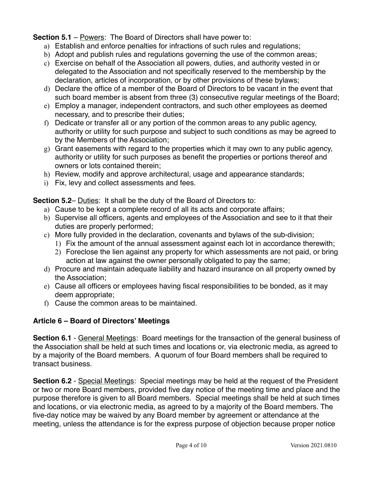**Section 5.1** – Powers: The Board of Directors shall have power to:

- a) Establish and enforce penalties for infractions of such rules and regulations;
- b) Adopt and publish rules and regulations governing the use of the common areas;
- c) Exercise on behalf of the Association all powers, duties, and authority vested in or delegated to the Association and not specifically reserved to the membership by the declaration, articles of incorporation, or by other provisions of these bylaws;
- d) Declare the office of a member of the Board of Directors to be vacant in the event that such board member is absent from three (3) consecutive regular meetings of the Board;
- e) Employ a manager, independent contractors, and such other employees as deemed necessary, and to prescribe their duties;
- f) Dedicate or transfer all or any portion of the common areas to any public agency, authority or utility for such purpose and subject to such conditions as may be agreed to by the Members of the Association;
- g) Grant easements with regard to the properties which it may own to any public agency, authority or utility for such purposes as benefit the properties or portions thereof and owners or lots contained therein;
- h) Review, modify and approve architectural, usage and appearance standards;
- i) Fix, levy and collect assessments and fees.

**Section 5.2**– Duties: It shall be the duty of the Board of Directors to:

- a) Cause to be kept a complete record of all its acts and corporate affairs;
- b) Supervise all officers, agents and employees of the Association and see to it that their duties are properly performed;
- c) More fully provided in the declaration, covenants and bylaws of the sub-division;
	- 1) Fix the amount of the annual assessment against each lot in accordance therewith;
	- 2) Foreclose the lien against any property for which assessments are not paid, or bring action at law against the owner personally obligated to pay the same;
- d) Procure and maintain adequate liability and hazard insurance on all property owned by the Association;
- e) Cause all officers or employees having fiscal responsibilities to be bonded, as it may deem appropriate;
- f) Cause the common areas to be maintained.

## **Article 6 – Board of Directors' Meetings**

**Section 6.1** - General Meetings: Board meetings for the transaction of the general business of the Association shall be held at such times and locations or, via electronic media, as agreed to by a majority of the Board members. A quorum of four Board members shall be required to transact business.

**Section 6.2** - Special Meetings: Special meetings may be held at the request of the President or two or more Board members, provided five day notice of the meeting time and place and the purpose therefore is given to all Board members. Special meetings shall be held at such times and locations, or via electronic media, as agreed to by a majority of the Board members. The five-day notice may be waived by any Board member by agreement or attendance at the meeting, unless the attendance is for the express purpose of objection because proper notice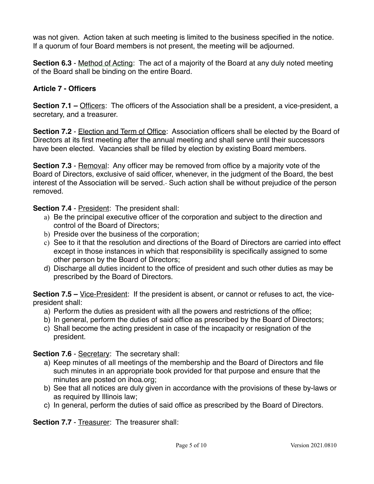was not given. Action taken at such meeting is limited to the business specified in the notice. If a quorum of four Board members is not present, the meeting will be adjourned.

**Section 6.3** - Method of Acting: The act of a majority of the Board at any duly noted meeting of the Board shall be binding on the entire Board.

#### **Article 7 - Officers**

**Section 7.1 –** Officers: The officers of the Association shall be a president, a vice-president, a secretary, and a treasurer.

**Section 7.2** - Election and Term of Office: Association officers shall be elected by the Board of Directors at its first meeting after the annual meeting and shall serve until their successors have been elected. Vacancies shall be filled by election by existing Board members.

**Section 7.3** - Removal: Any officer may be removed from office by a majority vote of the Board of Directors, exclusive of said officer, whenever, in the judgment of the Board, the best interest of the Association will be served.- Such action shall be without prejudice of the person removed.

**Section 7.4** - President: The president shall:

- a) Be the principal executive officer of the corporation and subject to the direction and control of the Board of Directors;
- b) Preside over the business of the corporation;
- c) See to it that the resolution and directions of the Board of Directors are carried into effect except in those instances in which that responsibility is specifically assigned to some other person by the Board of Directors;
- d) Discharge all duties incident to the office of president and such other duties as may be prescribed by the Board of Directors.

**Section 7.5 –** Vice-President: If the president is absent, or cannot or refuses to act, the vicepresident shall:

- a) Perform the duties as president with all the powers and restrictions of the office;
- b) In general, perform the duties of said office as prescribed by the Board of Directors;
- c) Shall become the acting president in case of the incapacity or resignation of the president.

**Section 7.6 - Secretary: The secretary shall:** 

- a) Keep minutes of all meetings of the membership and the Board of Directors and file such minutes in an appropriate book provided for that purpose and ensure that the minutes are posted on ihoa.org;
- b) See that all notices are duly given in accordance with the provisions of these by-laws or as required by Illinois law;
- c) In general, perform the duties of said office as prescribed by the Board of Directors.

**Section 7.7** - Treasurer: The treasurer shall: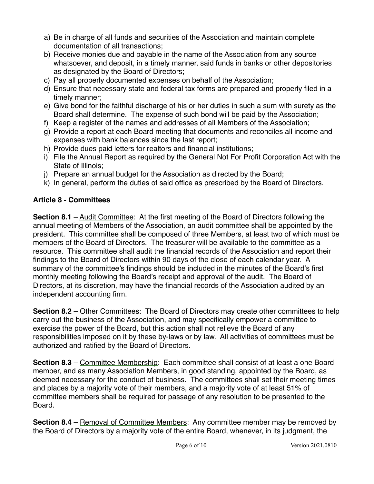- a) Be in charge of all funds and securities of the Association and maintain complete documentation of all transactions;
- b) Receive monies due and payable in the name of the Association from any source whatsoever, and deposit, in a timely manner, said funds in banks or other depositories as designated by the Board of Directors;
- c) Pay all properly documented expenses on behalf of the Association;
- d) Ensure that necessary state and federal tax forms are prepared and properly filed in a timely manner;
- e) Give bond for the faithful discharge of his or her duties in such a sum with surety as the Board shall determine. The expense of such bond will be paid by the Association;
- f) Keep a register of the names and addresses of all Members of the Association;
- g) Provide a report at each Board meeting that documents and reconciles all income and expenses with bank balances since the last report;
- h) Provide dues paid letters for realtors and financial institutions;
- i) File the Annual Report as required by the General Not For Profit Corporation Act with the State of Illinois;
- j) Prepare an annual budget for the Association as directed by the Board;
- k) In general, perform the duties of said office as prescribed by the Board of Directors.

## **Article 8 - Committees**

**Section 8.1** – Audit Committee: At the first meeting of the Board of Directors following the annual meeting of Members of the Association, an audit committee shall be appointed by the president. This committee shall be composed of three Members, at least two of which must be members of the Board of Directors. The treasurer will be available to the committee as a resource. This committee shall audit the financial records of the Association and report their findings to the Board of Directors within 90 days of the close of each calendar year. A summary of the committee's findings should be included in the minutes of the Board's first monthly meeting following the Board's receipt and approval of the audit. The Board of Directors, at its discretion, may have the financial records of the Association audited by an independent accounting firm.

**Section 8.2** – Other Committees: The Board of Directors may create other committees to help carry out the business of the Association, and may specifically empower a committee to exercise the power of the Board, but this action shall not relieve the Board of any responsibilities imposed on it by these by-laws or by law. All activities of committees must be authorized and ratified by the Board of Directors.

**Section 8.3** – Committee Membership: Each committee shall consist of at least a one Board member, and as many Association Members, in good standing, appointed by the Board, as deemed necessary for the conduct of business. The committees shall set their meeting times and places by a majority vote of their members, and a majority vote of at least 51% of committee members shall be required for passage of any resolution to be presented to the Board.

**Section 8.4** – Removal of Committee Members: Any committee member may be removed by the Board of Directors by a majority vote of the entire Board, whenever, in its judgment, the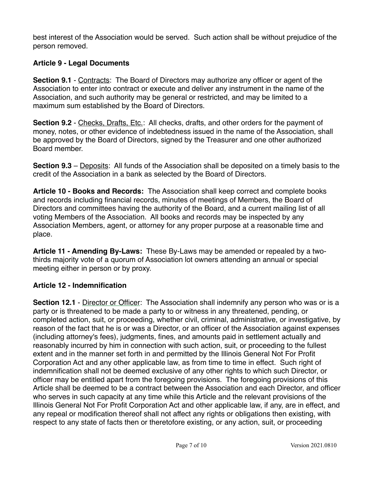best interest of the Association would be served. Such action shall be without prejudice of the person removed.

## **Article 9 - Legal Documents**

**Section 9.1** - Contracts: The Board of Directors may authorize any officer or agent of the Association to enter into contract or execute and deliver any instrument in the name of the Association, and such authority may be general or restricted, and may be limited to a maximum sum established by the Board of Directors.

**Section 9.2** - Checks, Drafts, Etc.: All checks, drafts, and other orders for the payment of money, notes, or other evidence of indebtedness issued in the name of the Association, shall be approved by the Board of Directors, signed by the Treasurer and one other authorized Board member.

**Section 9.3** – Deposits: All funds of the Association shall be deposited on a timely basis to the credit of the Association in a bank as selected by the Board of Directors.

**Article 10 - Books and Records:** The Association shall keep correct and complete books and records including financial records, minutes of meetings of Members, the Board of Directors and committees having the authority of the Board, and a current mailing list of all voting Members of the Association. All books and records may be inspected by any Association Members, agent, or attorney for any proper purpose at a reasonable time and place.

**Article 11 - Amending By-Laws:** These By-Laws may be amended or repealed by a twothirds majority vote of a quorum of Association lot owners attending an annual or special meeting either in person or by proxy.

## **Article 12 - Indemnification**

**Section 12.1** - Director or Officer: The Association shall indemnify any person who was or is a party or is threatened to be made a party to or witness in any threatened, pending, or completed action, suit, or proceeding, whether civil, criminal, administrative, or investigative, by reason of the fact that he is or was a Director, or an officer of the Association against expenses (including attorney's fees), judgments, fines, and amounts paid in settlement actually and reasonably incurred by him in connection with such action, suit, or proceeding to the fullest extent and in the manner set forth in and permitted by the Illinois General Not For Profit Corporation Act and any other applicable law, as from time to time in effect. Such right of indemnification shall not be deemed exclusive of any other rights to which such Director, or officer may be entitled apart from the foregoing provisions. The foregoing provisions of this Article shall be deemed to be a contract between the Association and each Director, and officer who serves in such capacity at any time while this Article and the relevant provisions of the Illinois General Not For Profit Corporation Act and other applicable law, if any, are in effect, and any repeal or modification thereof shall not affect any rights or obligations then existing, with respect to any state of facts then or theretofore existing, or any action, suit, or proceeding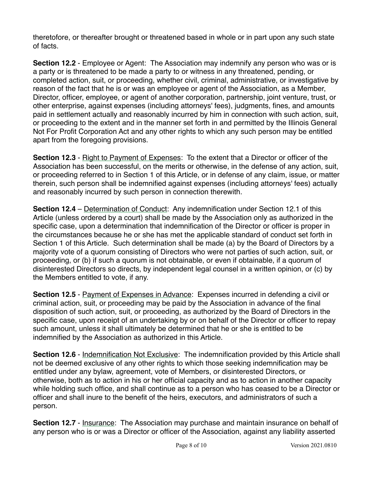theretofore, or thereafter brought or threatened based in whole or in part upon any such state of facts.

**Section 12.2** - Employee or Agent:The Association may indemnify any person who was or is a party or is threatened to be made a party to or witness in any threatened, pending, or completed action, suit, or proceeding, whether civil, criminal, administrative, or investigative by reason of the fact that he is or was an employee or agent of the Association, as a Member, Director, officer, employee, or agent of another corporation, partnership, joint venture, trust, or other enterprise, against expenses (including attorneys' fees), judgments, fines, and amounts paid in settlement actually and reasonably incurred by him in connection with such action, suit, or proceeding to the extent and in the manner set forth in and permitted by the Illinois General Not For Profit Corporation Act and any other rights to which any such person may be entitled apart from the foregoing provisions.

**Section 12.3** - Right to Payment of Expenses: To the extent that a Director or officer of the Association has been successful, on the merits or otherwise, in the defense of any action, suit, or proceeding referred to in Section 1 of this Article, or in defense of any claim, issue, or matter therein, such person shall be indemnified against expenses (including attorneys' fees) actually and reasonably incurred by such person in connection therewith.

**Section 12.4** – Determination of Conduct: Any indemnification under Section 12.1 of this Article (unless ordered by a court) shall be made by the Association only as authorized in the specific case, upon a determination that indemnification of the Director or officer is proper in the circumstances because he or she has met the applicable standard of conduct set forth in Section 1 of this Article. Such determination shall be made (a) by the Board of Directors by a majority vote of a quorum consisting of Directors who were not parties of such action, suit, or proceeding, or (b) if such a quorum is not obtainable, or even if obtainable, if a quorum of disinterested Directors so directs, by independent legal counsel in a written opinion, or (c) by the Members entitled to vote, if any.

**Section 12.5** - Payment of Expenses in Advance: Expenses incurred in defending a civil or criminal action, suit, or proceeding may be paid by the Association in advance of the final disposition of such action, suit, or proceeding, as authorized by the Board of Directors in the specific case, upon receipt of an undertaking by or on behalf of the Director or officer to repay such amount, unless it shall ultimately be determined that he or she is entitled to be indemnified by the Association as authorized in this Article.

**Section 12.6** - Indemnification Not Exclusive: The indemnification provided by this Article shall not be deemed exclusive of any other rights to which those seeking indemnification may be entitled under any bylaw, agreement, vote of Members, or disinterested Directors, or otherwise, both as to action in his or her official capacity and as to action in another capacity while holding such office, and shall continue as to a person who has ceased to be a Director or officer and shall inure to the benefit of the heirs, executors, and administrators of such a person.

**Section 12.7** - Insurance: The Association may purchase and maintain insurance on behalf of any person who is or was a Director or officer of the Association, against any liability asserted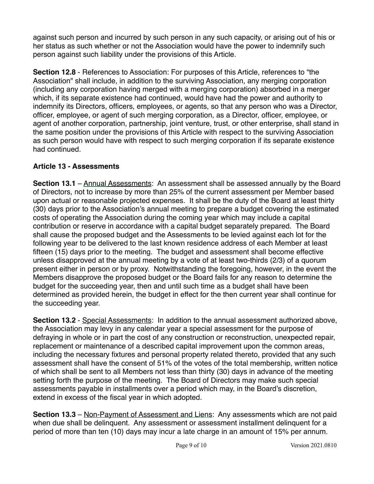against such person and incurred by such person in any such capacity, or arising out of his or her status as such whether or not the Association would have the power to indemnify such person against such liability under the provisions of this Article.

**Section 12.8** - References to Association: For purposes of this Article, references to "the Association" shall include, in addition to the surviving Association, any merging corporation (including any corporation having merged with a merging corporation) absorbed in a merger which, if its separate existence had continued, would have had the power and authority to indemnify its Directors, officers, employees, or agents, so that any person who was a Director, officer, employee, or agent of such merging corporation, as a Director, officer, employee, or agent of another corporation, partnership, joint venture, trust, or other enterprise, shall stand in the same position under the provisions of this Article with respect to the surviving Association as such person would have with respect to such merging corporation if its separate existence had continued.

## **Article 13 - Assessments**

**Section 13.1** – Annual Assessments: An assessment shall be assessed annually by the Board of Directors, not to increase by more than 25% of the current assessment per Member based upon actual or reasonable projected expenses. It shall be the duty of the Board at least thirty (30) days prior to the Association's annual meeting to prepare a budget covering the estimated costs of operating the Association during the coming year which may include a capital contribution or reserve in accordance with a capital budget separately prepared. The Board shall cause the proposed budget and the Assessments to be levied against each lot for the following year to be delivered to the last known residence address of each Member at least fifteen (15) days prior to the meeting. The budget and assessment shall become effective unless disapproved at the annual meeting by a vote of at least two-thirds (2/3) of a quorum present either in person or by proxy. Notwithstanding the foregoing, however, in the event the Members disapprove the proposed budget or the Board fails for any reason to determine the budget for the succeeding year, then and until such time as a budget shall have been determined as provided herein, the budget in effect for the then current year shall continue for the succeeding year.

**Section 13.2** - Special Assessments: In addition to the annual assessment authorized above, the Association may levy in any calendar year a special assessment for the purpose of defraying in whole or in part the cost of any construction or reconstruction, unexpected repair, replacement or maintenance of a described capital improvement upon the common areas, including the necessary fixtures and personal property related thereto, provided that any such assessment shall have the consent of 51% of the votes of the total membership, written notice of which shall be sent to all Members not less than thirty (30) days in advance of the meeting setting forth the purpose of the meeting. The Board of Directors may make such special assessments payable in installments over a period which may, in the Board's discretion, extend in excess of the fiscal year in which adopted.

**Section 13.3** – Non-Payment of Assessment and Liens: Any assessments which are not paid when due shall be delinquent. Any assessment or assessment installment delinquent for a period of more than ten (10) days may incur a late charge in an amount of 15% per annum.